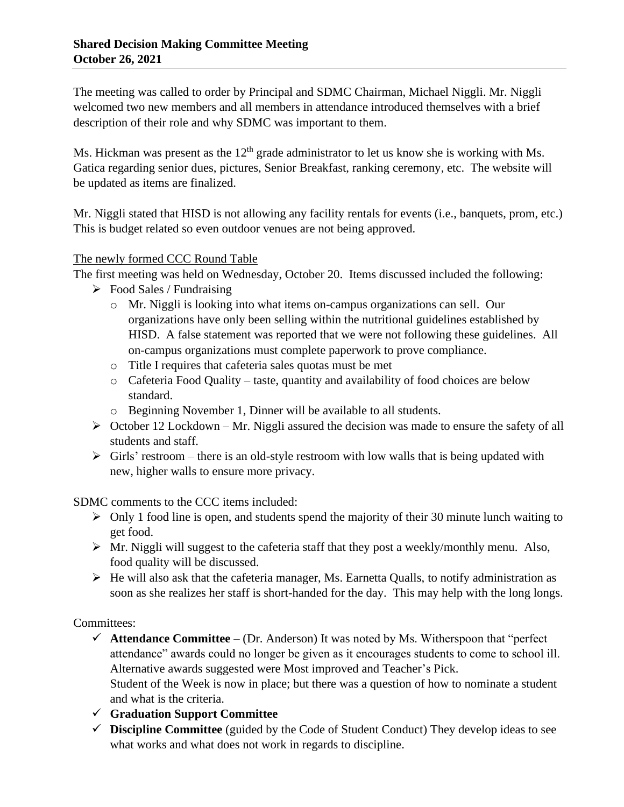The meeting was called to order by Principal and SDMC Chairman, Michael Niggli. Mr. Niggli welcomed two new members and all members in attendance introduced themselves with a brief description of their role and why SDMC was important to them.

Ms. Hickman was present as the  $12<sup>th</sup>$  grade administrator to let us know she is working with Ms. Gatica regarding senior dues, pictures, Senior Breakfast, ranking ceremony, etc. The website will be updated as items are finalized.

Mr. Niggli stated that HISD is not allowing any facility rentals for events (i.e., banquets, prom, etc.) This is budget related so even outdoor venues are not being approved.

## The newly formed CCC Round Table

The first meeting was held on Wednesday, October 20. Items discussed included the following:

- $\triangleright$  Food Sales / Fundraising
	- o Mr. Niggli is looking into what items on-campus organizations can sell. Our organizations have only been selling within the nutritional guidelines established by HISD. A false statement was reported that we were not following these guidelines. All on-campus organizations must complete paperwork to prove compliance.
	- o Title I requires that cafeteria sales quotas must be met
	- o Cafeteria Food Quality taste, quantity and availability of food choices are below standard.
	- o Beginning November 1, Dinner will be available to all students.
- $\triangleright$  October 12 Lockdown Mr. Niggli assured the decision was made to ensure the safety of all students and staff.
- $\triangleright$  Girls' restroom there is an old-style restroom with low walls that is being updated with new, higher walls to ensure more privacy.

SDMC comments to the CCC items included:

- $\triangleright$  Only 1 food line is open, and students spend the majority of their 30 minute lunch waiting to get food.
- ➢ Mr. Niggli will suggest to the cafeteria staff that they post a weekly/monthly menu. Also, food quality will be discussed.
- $\triangleright$  He will also ask that the cafeteria manager, Ms. Earnetta Qualls, to notify administration as soon as she realizes her staff is short-handed for the day. This may help with the long longs.

Committees:

- $\checkmark$  **Attendance Committee** (Dr. Anderson) It was noted by Ms. Witherspoon that "perfect attendance" awards could no longer be given as it encourages students to come to school ill. Alternative awards suggested were Most improved and Teacher's Pick. Student of the Week is now in place; but there was a question of how to nominate a student and what is the criteria.
- ✓ **Graduation Support Committee**
- ✓ **Discipline Committee** (guided by the Code of Student Conduct) They develop ideas to see what works and what does not work in regards to discipline.